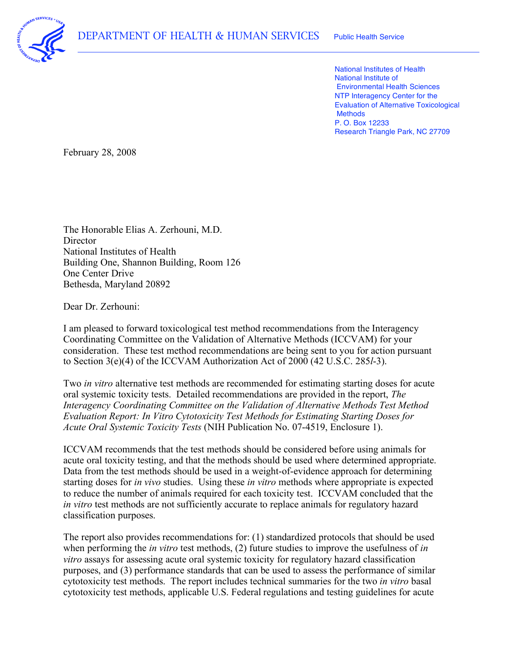

 National Institutes of Health National Institute of Environmental Health Sciences NTP Interagency Center for the Evaluation of Alternative Toxicological P. O. Box 12233 Research Triangle Park, NC 27709 **Methods** 

February 28, 2008

 The Honorable Elias A. Zerhouni, M.D. National Institutes of Health Building One, Shannon Building, Room 126 One Center Drive **Director** Bethesda, Maryland 20892

Dear Dr. Zerhouni:

 I am pleased to forward toxicological test method recommendations from the Interagency Coordinating Committee on the Validation of Alternative Methods (ICCVAM) for your consideration. These test method recommendations are being sent to you for action pursuant to Section 3(e)(4) of the ICCVAM Authorization Act of 2000 (42 U.S.C. 285*l*-3).

 Two *in vitro* alternative test methods are recommended for estimating starting doses for acute oral systemic toxicity tests. Detailed recommendations are provided in the report, *The Interagency Coordinating Committee on the Validation of Alternative Methods Test Method Evaluation Report: In Vitro Cytotoxicity Test Methods for Estimating Starting Doses for Acute Oral Systemic Toxicity Tests* (NIH Publication No. 07-4519, Enclosure 1).

 ICCVAM recommends that the test methods should be considered before using animals for acute oral toxicity testing, and that the methods should be used where determined appropriate. Data from the test methods should be used in a weight-of-evidence approach for determining starting doses for *in vivo* studies. Using these *in vitro* methods where appropriate is expected to reduce the number of animals required for each toxicity test. ICCVAM concluded that the *in vitro* test methods are not sufficiently accurate to replace animals for regulatory hazard classification purposes.

 The report also provides recommendations for: (1) standardized protocols that should be used when performing the *in vitro* test methods, (2) future studies to improve the usefulness of *in vitro* assays for assessing acute oral systemic toxicity for regulatory hazard classification purposes, and (3) performance standards that can be used to assess the performance of similar cytotoxicity test methods. The report includes technical summaries for the two *in vitro* basal cytotoxicity test methods, applicable U.S. Federal regulations and testing guidelines for acute